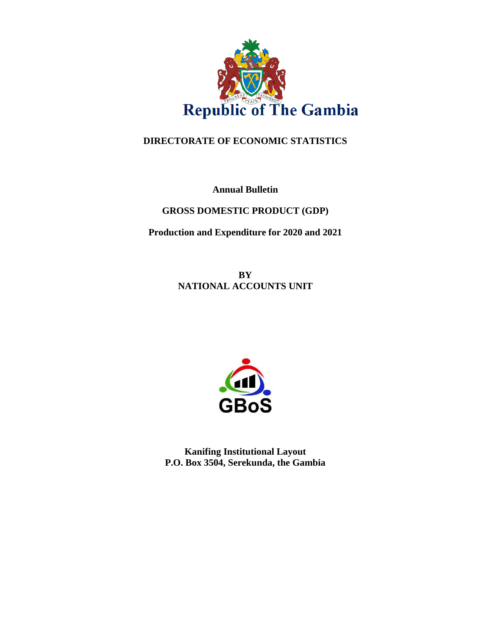

## **DIRECTORATE OF ECONOMIC STATISTICS**

**Annual Bulletin**

**GROSS DOMESTIC PRODUCT (GDP)** 

**Production and Expenditure for 2020 and 2021**

**BY NATIONAL ACCOUNTS UNIT**



**Kanifing Institutional Layout P.O. Box 3504, Serekunda, the Gambia**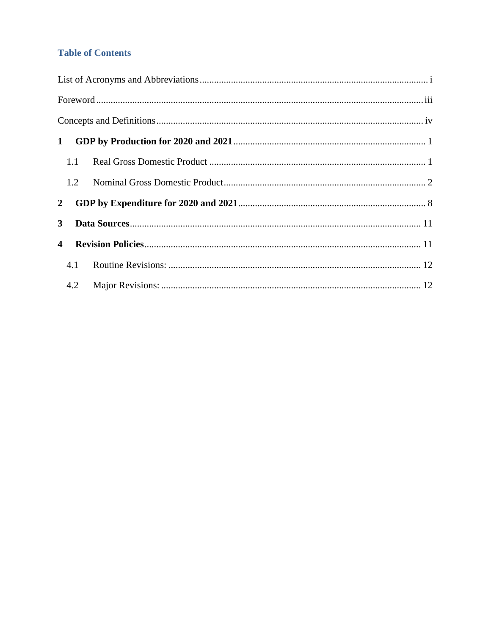## **Table of Contents**

| $\mathbf{1}$            |     |  |
|-------------------------|-----|--|
|                         | 1.1 |  |
|                         | 1.2 |  |
| $\mathbf{2}$            |     |  |
| $\mathbf{3}$            |     |  |
| $\overline{\mathbf{4}}$ |     |  |
|                         | 4.1 |  |
|                         | 4.2 |  |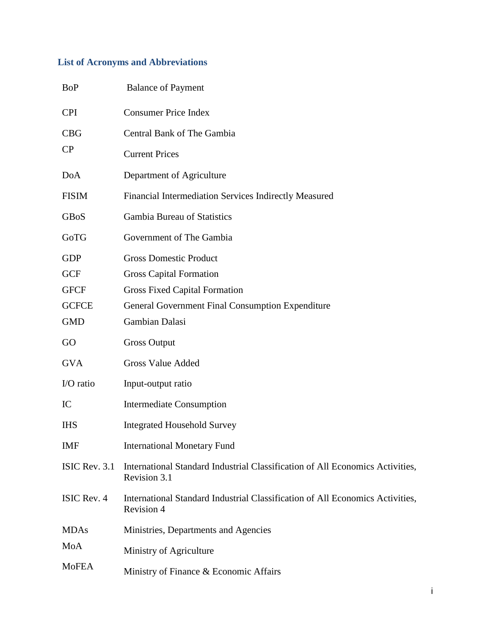# <span id="page-2-0"></span>**List of Acronyms and Abbreviations**

| <b>BoP</b>    | <b>Balance of Payment</b>                                                                     |
|---------------|-----------------------------------------------------------------------------------------------|
| <b>CPI</b>    | <b>Consumer Price Index</b>                                                                   |
| <b>CBG</b>    | Central Bank of The Gambia                                                                    |
| CP            | <b>Current Prices</b>                                                                         |
| <b>DoA</b>    | Department of Agriculture                                                                     |
| <b>FISIM</b>  | Financial Intermediation Services Indirectly Measured                                         |
| GBoS          | <b>Gambia Bureau of Statistics</b>                                                            |
| GoTG          | Government of The Gambia                                                                      |
| <b>GDP</b>    | <b>Gross Domestic Product</b>                                                                 |
| <b>GCF</b>    | <b>Gross Capital Formation</b>                                                                |
| <b>GFCF</b>   | <b>Gross Fixed Capital Formation</b>                                                          |
| <b>GCFCE</b>  | General Government Final Consumption Expenditure                                              |
| <b>GMD</b>    | Gambian Dalasi                                                                                |
| GO            | <b>Gross Output</b>                                                                           |
| <b>GVA</b>    | <b>Gross Value Added</b>                                                                      |
| I/O ratio     | Input-output ratio                                                                            |
| IC            | <b>Intermediate Consumption</b>                                                               |
| <b>IHS</b>    | <b>Integrated Household Survey</b>                                                            |
| IMF           | <b>International Monetary Fund</b>                                                            |
| ISIC Rev. 3.1 | International Standard Industrial Classification of All Economics Activities,<br>Revision 3.1 |
| ISIC Rev. 4   | International Standard Industrial Classification of All Economics Activities,<br>Revision 4   |
| <b>MDAs</b>   | Ministries, Departments and Agencies                                                          |
| MoA           | Ministry of Agriculture                                                                       |
| <b>MoFEA</b>  | Ministry of Finance & Economic Affairs                                                        |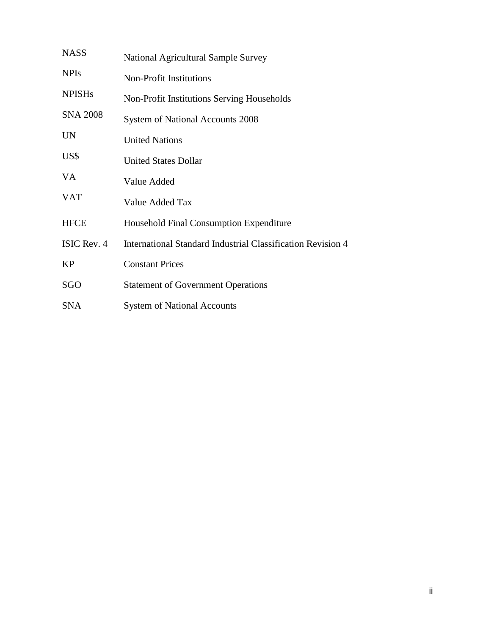| <b>NASS</b>     | <b>National Agricultural Sample Survey</b>                         |
|-----------------|--------------------------------------------------------------------|
| <b>NPIs</b>     | <b>Non-Profit Institutions</b>                                     |
| <b>NPISHs</b>   | Non-Profit Institutions Serving Households                         |
| <b>SNA 2008</b> | <b>System of National Accounts 2008</b>                            |
| <b>UN</b>       | <b>United Nations</b>                                              |
| US\$            | <b>United States Dollar</b>                                        |
| VA              | Value Added                                                        |
| <b>VAT</b>      | Value Added Tax                                                    |
| <b>HFCE</b>     | Household Final Consumption Expenditure                            |
| ISIC Rev. 4     | <b>International Standard Industrial Classification Revision 4</b> |
| <b>KP</b>       | <b>Constant Prices</b>                                             |
| SGO             | <b>Statement of Government Operations</b>                          |
| <b>SNA</b>      | <b>System of National Accounts</b>                                 |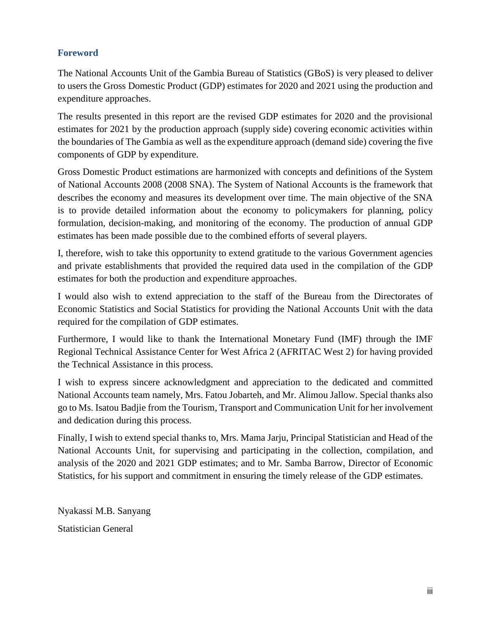## <span id="page-4-0"></span>**Foreword**

The National Accounts Unit of the Gambia Bureau of Statistics (GBoS) is very pleased to deliver to users the Gross Domestic Product (GDP) estimates for 2020 and 2021 using the production and expenditure approaches.

The results presented in this report are the revised GDP estimates for 2020 and the provisional estimates for 2021 by the production approach (supply side) covering economic activities within the boundaries of The Gambia as well as the expenditure approach (demand side) covering the five components of GDP by expenditure.

Gross Domestic Product estimations are harmonized with concepts and definitions of the System of National Accounts 2008 (2008 SNA). The System of National Accounts is the framework that describes the economy and measures its development over time. The main objective of the SNA is to provide detailed information about the economy to policymakers for planning, policy formulation, decision-making, and monitoring of the economy. The production of annual GDP estimates has been made possible due to the combined efforts of several players.

I, therefore, wish to take this opportunity to extend gratitude to the various Government agencies and private establishments that provided the required data used in the compilation of the GDP estimates for both the production and expenditure approaches.

I would also wish to extend appreciation to the staff of the Bureau from the Directorates of Economic Statistics and Social Statistics for providing the National Accounts Unit with the data required for the compilation of GDP estimates.

Furthermore, I would like to thank the International Monetary Fund (IMF) through the IMF Regional Technical Assistance Center for West Africa 2 (AFRITAC West 2) for having provided the Technical Assistance in this process.

I wish to express sincere acknowledgment and appreciation to the dedicated and committed National Accounts team namely, Mrs. Fatou Jobarteh, and Mr. Alimou Jallow. Special thanks also go to Ms. Isatou Badjie from the Tourism, Transport and Communication Unit for her involvement and dedication during this process.

Finally, I wish to extend special thanks to, Mrs. Mama Jarju, Principal Statistician and Head of the National Accounts Unit, for supervising and participating in the collection, compilation, and analysis of the 2020 and 2021 GDP estimates; and to Mr. Samba Barrow, Director of Economic Statistics, for his support and commitment in ensuring the timely release of the GDP estimates.

Nyakassi M.B. Sanyang Statistician General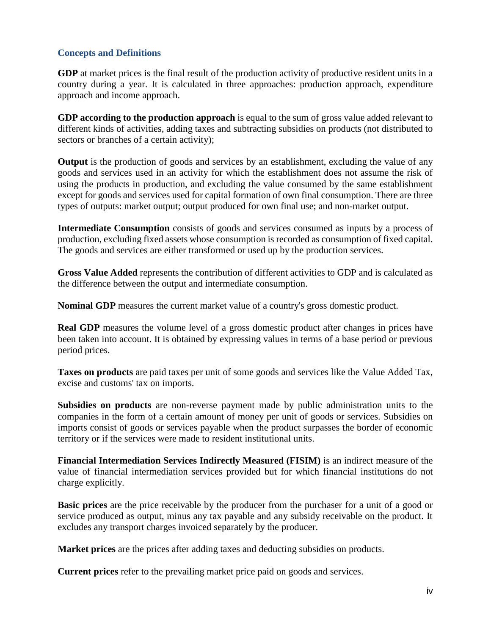### <span id="page-5-0"></span>**Concepts and Definitions**

**GDP** at market prices is the final result of the production activity of productive resident units in a country during a year. It is calculated in three approaches: production approach, expenditure approach and income approach.

**GDP according to the production approach** is equal to the sum of gross value added relevant to different kinds of activities, adding taxes and subtracting subsidies on products (not distributed to sectors or branches of a certain activity);

**Output** is the production of goods and services by an establishment, excluding the value of any goods and services used in an activity for which the establishment does not assume the risk of using the products in production, and excluding the value consumed by the same establishment except for goods and services used for capital formation of own final consumption. There are three types of outputs: market output; output produced for own final use; and non-market output.

**Intermediate Consumption** consists of goods and services consumed as inputs by a process of production, excluding fixed assets whose consumption is recorded as consumption of fixed capital. The goods and services are either transformed or used up by the production services.

**Gross Value Added** represents the contribution of different activities to GDP and is calculated as the difference between the output and intermediate consumption.

**Nominal GDP** measures the current market value of a country's gross domestic product.

**Real GDP** measures the volume level of a gross domestic product after changes in prices have been taken into account. It is obtained by expressing values in terms of a base period or previous period prices.

**Taxes on products** are paid taxes per unit of some goods and services like the Value Added Tax, excise and customs' tax on imports.

**Subsidies on products** are non-reverse payment made by public administration units to the companies in the form of a certain amount of money per unit of goods or services. Subsidies on imports consist of goods or services payable when the product surpasses the border of economic territory or if the services were made to resident institutional units.

**Financial Intermediation Services Indirectly Measured (FISIM)** is an indirect measure of the value of financial intermediation services provided but for which financial institutions do not charge explicitly.

**Basic prices** are the price receivable by the producer from the purchaser for a unit of a good or service produced as output, minus any tax payable and any subsidy receivable on the product. It excludes any transport charges invoiced separately by the producer.

**Market prices** are the prices after adding taxes and deducting subsidies on products.

**Current prices** refer to the prevailing market price paid on goods and services.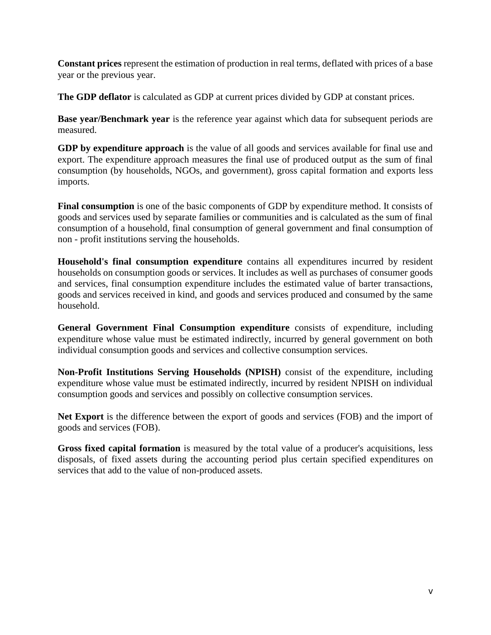**Constant prices** represent the estimation of production in real terms, deflated with prices of a base year or the previous year.

**The GDP deflator** is calculated as GDP at current prices divided by GDP at constant prices.

**Base year/Benchmark year** is the reference year against which data for subsequent periods are measured.

**GDP by expenditure approach** is the value of all goods and services available for final use and export. The expenditure approach measures the final use of produced output as the sum of final consumption (by households, NGOs, and government), gross capital formation and exports less imports.

**Final consumption** is one of the basic components of GDP by expenditure method. It consists of goods and services used by separate families or communities and is calculated as the sum of final consumption of a household, final consumption of general government and final consumption of non - profit institutions serving the households.

**Household's final consumption expenditure** contains all expenditures incurred by resident households on consumption goods or services. It includes as well as purchases of consumer goods and services, final consumption expenditure includes the estimated value of barter transactions, goods and services received in kind, and goods and services produced and consumed by the same household.

**General Government Final Consumption expenditure** consists of expenditure, including expenditure whose value must be estimated indirectly, incurred by general government on both individual consumption goods and services and collective consumption services.

**Non-Profit Institutions Serving Households (NPISH)** consist of the expenditure, including expenditure whose value must be estimated indirectly, incurred by resident NPISH on individual consumption goods and services and possibly on collective consumption services.

**Net Export** is the difference between the export of goods and services (FOB) and the import of goods and services (FOB).

**Gross fixed capital formation** is measured by the total value of a producer's acquisitions, less disposals, of fixed assets during the accounting period plus certain specified expenditures on services that add to the value of non-produced assets.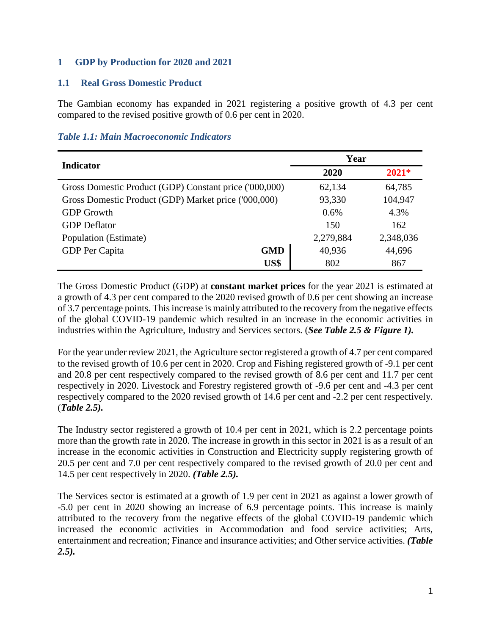## <span id="page-7-0"></span>**1 GDP by Production for 2020 and 2021**

### <span id="page-7-1"></span>**1.1 Real Gross Domestic Product**

The Gambian economy has expanded in 2021 registering a positive growth of 4.3 per cent compared to the revised positive growth of 0.6 per cent in 2020.

|  |  |  | <b>Table 1.1: Main Macroeconomic Indicators</b> |  |
|--|--|--|-------------------------------------------------|--|
|--|--|--|-------------------------------------------------|--|

| <b>Indicator</b>                                       |            | Year            |           |  |
|--------------------------------------------------------|------------|-----------------|-----------|--|
|                                                        |            | $2021*$<br>2020 |           |  |
| Gross Domestic Product (GDP) Constant price ('000,000) |            | 62,134          | 64,785    |  |
| Gross Domestic Product (GDP) Market price ('000,000)   |            | 93,330          | 104,947   |  |
| <b>GDP</b> Growth                                      |            | 0.6%            | 4.3%      |  |
| <b>GDP</b> Deflator                                    |            | 150             | 162       |  |
| Population (Estimate)                                  |            | 2,279,884       | 2,348,036 |  |
| GDP Per Capita                                         | <b>GMD</b> | 40,936          | 44,696    |  |
|                                                        | US\$       | 802             | 867       |  |

The Gross Domestic Product (GDP) at **constant market prices** for the year 2021 is estimated at a growth of 4.3 per cent compared to the 2020 revised growth of 0.6 per cent showing an increase of 3.7 percentage points. This increase is mainly attributed to the recovery from the negative effects of the global COVID-19 pandemic which resulted in an increase in the economic activities in industries within the Agriculture, Industry and Services sectors. (*See Table 2.5 & Figure 1).*

For the year under review 2021, the Agriculture sector registered a growth of 4.7 per cent compared to the revised growth of 10.6 per cent in 2020. Crop and Fishing registered growth of -9.1 per cent and 20.8 per cent respectively compared to the revised growth of 8.6 per cent and 11.7 per cent respectively in 2020. Livestock and Forestry registered growth of -9.6 per cent and -4.3 per cent respectively compared to the 2020 revised growth of 14.6 per cent and -2.2 per cent respectively. (*Table 2.5).*

The Industry sector registered a growth of 10.4 per cent in 2021, which is 2.2 percentage points more than the growth rate in 2020. The increase in growth in this sector in 2021 is as a result of an increase in the economic activities in Construction and Electricity supply registering growth of 20.5 per cent and 7.0 per cent respectively compared to the revised growth of 20.0 per cent and 14.5 per cent respectively in 2020. *(Table 2.5).*

The Services sector is estimated at a growth of 1.9 per cent in 2021 as against a lower growth of -5.0 per cent in 2020 showing an increase of 6.9 percentage points. This increase is mainly attributed to the recovery from the negative effects of the global COVID-19 pandemic which increased the economic activities in Accommodation and food service activities; Arts, entertainment and recreation; Finance and insurance activities; and Other service activities. *(Table 2.5).*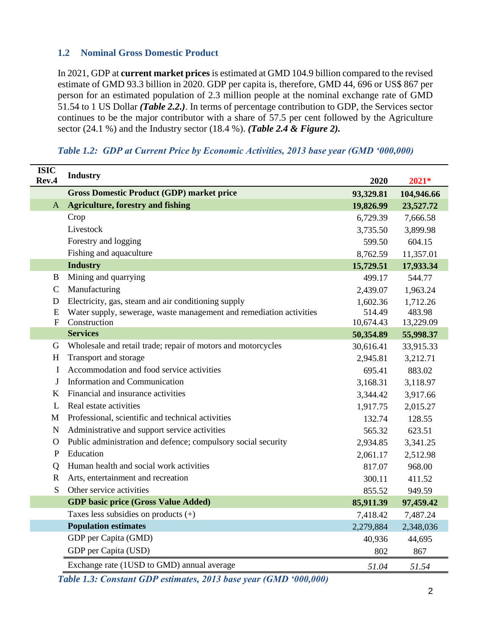## <span id="page-8-0"></span>**1.2 Nominal Gross Domestic Product**

In 2021, GDP at **current market prices** is estimated at GMD 104.9 billion compared to the revised estimate of GMD 93.3 billion in 2020. GDP per capita is, therefore, GMD 44, 696 or US\$ 867 per person for an estimated population of 2.3 million people at the nominal exchange rate of GMD 51.54 to 1 US Dollar *(Table 2.2.)*. In terms of percentage contribution to GDP, the Services sector continues to be the major contributor with a share of 57.5 per cent followed by the Agriculture sector (24.1 %) and the Industry sector (18.4 %). *(Table 2.4 & Figure 2).*

| <b>ISIC</b><br>Rev.4 | <b>Industry</b>                                                     | 2020      | 2021*      |
|----------------------|---------------------------------------------------------------------|-----------|------------|
|                      | <b>Gross Domestic Product (GDP) market price</b>                    | 93,329.81 | 104,946.66 |
| A                    | <b>Agriculture, forestry and fishing</b>                            | 19,826.99 | 23,527.72  |
|                      | Crop                                                                | 6,729.39  | 7,666.58   |
|                      | Livestock                                                           | 3,735.50  | 3,899.98   |
|                      | Forestry and logging                                                | 599.50    | 604.15     |
|                      | Fishing and aquaculture                                             | 8,762.59  | 11,357.01  |
|                      | <b>Industry</b>                                                     | 15,729.51 | 17,933.34  |
| B                    | Mining and quarrying                                                | 499.17    | 544.77     |
| $\mathbf C$          | Manufacturing                                                       | 2,439.07  | 1,963.24   |
| D                    | Electricity, gas, steam and air conditioning supply                 | 1,602.36  | 1,712.26   |
| ${\bf E}$            | Water supply, sewerage, waste management and remediation activities | 514.49    | 483.98     |
| $\mathbf F$          | Construction                                                        | 10,674.43 | 13,229.09  |
|                      | <b>Services</b>                                                     | 50,354.89 | 55,998.37  |
| G                    | Wholesale and retail trade; repair of motors and motorcycles        | 30,616.41 | 33,915.33  |
| H                    | Transport and storage                                               | 2,945.81  | 3,212.71   |
| I                    | Accommodation and food service activities                           | 695.41    | 883.02     |
| J                    | Information and Communication                                       | 3,168.31  | 3,118.97   |
| K                    | Financial and insurance activities                                  | 3,344.42  | 3,917.66   |
| L                    | Real estate activities                                              | 1,917.75  | 2,015.27   |
| M                    | Professional, scientific and technical activities                   | 132.74    | 128.55     |
| N                    | Administrative and support service activities                       | 565.32    | 623.51     |
| $\mathbf O$          | Public administration and defence; compulsory social security       | 2,934.85  | 3,341.25   |
| $\mathbf{P}$         | Education                                                           | 2,061.17  | 2,512.98   |
| $\overline{O}$       | Human health and social work activities                             | 817.07    | 968.00     |
| $\mathbf R$          | Arts, entertainment and recreation                                  | 300.11    | 411.52     |
| S                    | Other service activities                                            | 855.52    | 949.59     |
|                      | <b>GDP</b> basic price (Gross Value Added)                          | 85,911.39 | 97,459.42  |
|                      | Taxes less subsidies on products $(+)$                              | 7,418.42  | 7,487.24   |
|                      | <b>Population estimates</b>                                         | 2,279,884 | 2,348,036  |
|                      | GDP per Capita (GMD)                                                | 40,936    | 44,695     |
|                      | GDP per Capita (USD)                                                | 802       | 867        |
|                      | Exchange rate (1USD to GMD) annual average                          | 51.04     | 51.54      |

#### *Table 1.2: GDP at Current Price by Economic Activities, 2013 base year (GMD '000,000)*

*Table 1.3: Constant GDP estimates, 2013 base year (GMD '000,000)*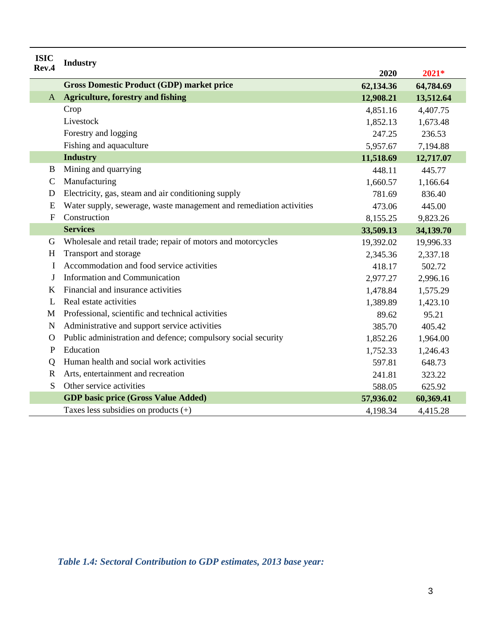| <b>ISIC</b><br>Rev.4 | <b>Industry</b>                                                     |           |           |
|----------------------|---------------------------------------------------------------------|-----------|-----------|
|                      |                                                                     | 2020      | 2021*     |
|                      | <b>Gross Domestic Product (GDP) market price</b>                    | 62,134.36 | 64,784.69 |
| $\mathbf{A}$         | <b>Agriculture, forestry and fishing</b>                            | 12,908.21 | 13,512.64 |
|                      | Crop                                                                | 4,851.16  | 4,407.75  |
|                      | Livestock                                                           | 1,852.13  | 1,673.48  |
|                      | Forestry and logging                                                | 247.25    | 236.53    |
|                      | Fishing and aquaculture                                             | 5,957.67  | 7,194.88  |
|                      | <b>Industry</b>                                                     | 11,518.69 | 12,717.07 |
| B                    | Mining and quarrying                                                | 448.11    | 445.77    |
| $\mathbf C$          | Manufacturing                                                       | 1,660.57  | 1,166.64  |
| D                    | Electricity, gas, steam and air conditioning supply                 | 781.69    | 836.40    |
| E                    | Water supply, sewerage, waste management and remediation activities | 473.06    | 445.00    |
| $\mathbf F$          | Construction                                                        | 8,155.25  | 9,823.26  |
|                      | <b>Services</b>                                                     | 33,509.13 | 34,139.70 |
| G                    | Wholesale and retail trade; repair of motors and motorcycles        | 19,392.02 | 19,996.33 |
| H                    | Transport and storage                                               | 2,345.36  | 2,337.18  |
| I                    | Accommodation and food service activities                           | 418.17    | 502.72    |
| J                    | Information and Communication                                       | 2,977.27  | 2,996.16  |
| K                    | Financial and insurance activities                                  | 1,478.84  | 1,575.29  |
| L                    | Real estate activities                                              | 1,389.89  | 1,423.10  |
| M                    | Professional, scientific and technical activities                   | 89.62     | 95.21     |
| N                    | Administrative and support service activities                       | 385.70    | 405.42    |
| $\Omega$             | Public administration and defence; compulsory social security       | 1,852.26  | 1,964.00  |
| P                    | Education                                                           | 1,752.33  | 1,246.43  |
| $\mathbf Q$          | Human health and social work activities                             | 597.81    | 648.73    |
| R                    | Arts, entertainment and recreation                                  | 241.81    | 323.22    |
| S                    | Other service activities                                            | 588.05    | 625.92    |
|                      | <b>GDP</b> basic price (Gross Value Added)                          | 57,936.02 | 60,369.41 |
|                      | Taxes less subsidies on products $(+)$                              | 4,198.34  | 4,415.28  |

*Table 1.4: Sectoral Contribution to GDP estimates, 2013 base year:*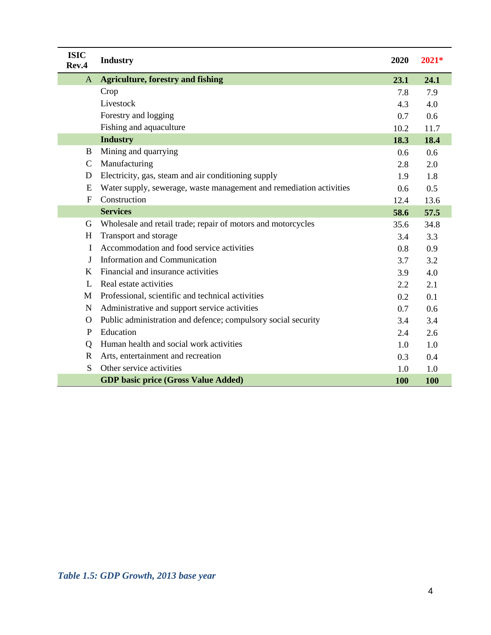| <b>ISIC</b><br>Rev.4 | <b>Industry</b>                                                     | 2020       | 2021* |
|----------------------|---------------------------------------------------------------------|------------|-------|
| A                    | <b>Agriculture, forestry and fishing</b>                            | 23.1       | 24.1  |
|                      | Crop                                                                | 7.8        | 7.9   |
|                      | Livestock                                                           | 4.3        | 4.0   |
|                      | Forestry and logging                                                | 0.7        | 0.6   |
|                      | Fishing and aquaculture                                             | 10.2       | 11.7  |
|                      | <b>Industry</b>                                                     | 18.3       | 18.4  |
| B                    | Mining and quarrying                                                | 0.6        | 0.6   |
| C                    | Manufacturing                                                       | 2.8        | 2.0   |
| D                    | Electricity, gas, steam and air conditioning supply                 | 1.9        | 1.8   |
| E                    | Water supply, sewerage, waste management and remediation activities | 0.6        | 0.5   |
| $\mathbf{F}$         | Construction                                                        | 12.4       | 13.6  |
|                      | <b>Services</b>                                                     | 58.6       | 57.5  |
| G                    | Wholesale and retail trade; repair of motors and motorcycles        | 35.6       | 34.8  |
| H                    | Transport and storage                                               | 3.4        | 3.3   |
| I                    | Accommodation and food service activities                           | 0.8        | 0.9   |
| J                    | Information and Communication                                       | 3.7        | 3.2   |
| K                    | Financial and insurance activities                                  | 3.9        | 4.0   |
| L                    | Real estate activities                                              | 2.2        | 2.1   |
| M                    | Professional, scientific and technical activities                   | 0.2        | 0.1   |
| $\mathbf N$          | Administrative and support service activities                       | 0.7        | 0.6   |
| $\Omega$             | Public administration and defence; compulsory social security       | 3.4        | 3.4   |
| $\mathbf{P}$         | Education                                                           | 2.4        | 2.6   |
| Q                    | Human health and social work activities                             | 1.0        | 1.0   |
| $\mathbf R$          | Arts, entertainment and recreation                                  | 0.3        | 0.4   |
| S                    | Other service activities                                            | 1.0        | 1.0   |
|                      | <b>GDP</b> basic price (Gross Value Added)                          | <b>100</b> | 100   |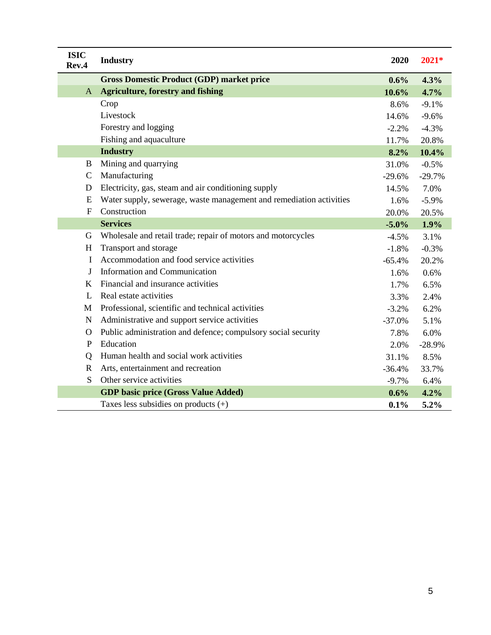| <b>ISIC</b><br>Rev.4 | <b>Industry</b>                                                     | 2020     | $2021*$  |
|----------------------|---------------------------------------------------------------------|----------|----------|
|                      | <b>Gross Domestic Product (GDP) market price</b>                    | $0.6\%$  | 4.3%     |
| A                    | <b>Agriculture, forestry and fishing</b>                            | 10.6%    | 4.7%     |
|                      | Crop                                                                | 8.6%     | $-9.1%$  |
|                      | Livestock                                                           | 14.6%    | $-9.6%$  |
|                      | Forestry and logging                                                | $-2.2%$  | $-4.3%$  |
|                      | Fishing and aquaculture                                             | 11.7%    | 20.8%    |
|                      | <b>Industry</b>                                                     | 8.2%     | 10.4%    |
| B                    | Mining and quarrying                                                | 31.0%    | $-0.5%$  |
| $\mathsf{C}$         | Manufacturing                                                       | $-29.6%$ | $-29.7%$ |
| D                    | Electricity, gas, steam and air conditioning supply                 | 14.5%    | 7.0%     |
| E                    | Water supply, sewerage, waste management and remediation activities | 1.6%     | $-5.9\%$ |
| $\mathbf F$          | Construction                                                        | 20.0%    | 20.5%    |
|                      | <b>Services</b>                                                     | $-5.0%$  | 1.9%     |
| G                    | Wholesale and retail trade; repair of motors and motorcycles        | $-4.5%$  | 3.1%     |
| H                    | Transport and storage                                               | $-1.8%$  | $-0.3%$  |
| I                    | Accommodation and food service activities                           | $-65.4%$ | 20.2%    |
| J                    | <b>Information and Communication</b>                                | 1.6%     | 0.6%     |
| K                    | Financial and insurance activities                                  | 1.7%     | 6.5%     |
| L                    | Real estate activities                                              | 3.3%     | 2.4%     |
| M                    | Professional, scientific and technical activities                   | $-3.2%$  | 6.2%     |
| N                    | Administrative and support service activities                       | $-37.0%$ | 5.1%     |
| $\mathbf O$          | Public administration and defence; compulsory social security       | 7.8%     | 6.0%     |
| $\mathbf{P}$         | Education                                                           | 2.0%     | $-28.9%$ |
| Q                    | Human health and social work activities                             | 31.1%    | 8.5%     |
| $\mathbf R$          | Arts, entertainment and recreation                                  | $-36.4%$ | 33.7%    |
| S                    | Other service activities                                            | $-9.7%$  | 6.4%     |
|                      | <b>GDP</b> basic price (Gross Value Added)                          | 0.6%     | 4.2%     |
|                      | Taxes less subsidies on products $(+)$                              | 0.1%     | 5.2%     |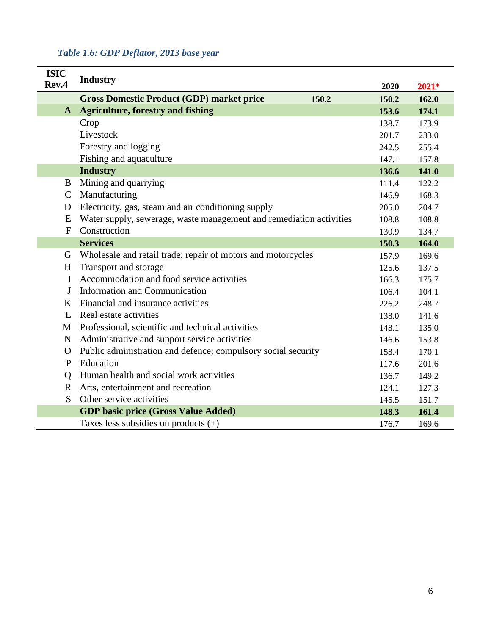|  |  |  | Table 1.6: GDP Deflator, 2013 base year |  |  |  |
|--|--|--|-----------------------------------------|--|--|--|
|--|--|--|-----------------------------------------|--|--|--|

| <b>ISIC</b><br>Rev.4 | <b>Industry</b>                                                     | 2020  | 2021* |
|----------------------|---------------------------------------------------------------------|-------|-------|
|                      | <b>Gross Domestic Product (GDP) market price</b><br>150.2           | 150.2 | 162.0 |
| $\mathbf{A}$         | <b>Agriculture, forestry and fishing</b>                            | 153.6 | 174.1 |
|                      | Crop                                                                | 138.7 | 173.9 |
|                      | Livestock                                                           | 201.7 | 233.0 |
|                      | Forestry and logging                                                | 242.5 | 255.4 |
|                      | Fishing and aquaculture                                             | 147.1 | 157.8 |
|                      | <b>Industry</b>                                                     | 136.6 | 141.0 |
| B                    | Mining and quarrying                                                | 111.4 | 122.2 |
| $\mathsf{C}$         | Manufacturing                                                       | 146.9 | 168.3 |
| D                    | Electricity, gas, steam and air conditioning supply                 | 205.0 | 204.7 |
| E                    | Water supply, sewerage, waste management and remediation activities | 108.8 | 108.8 |
| $\mathbf{F}$         | Construction                                                        | 130.9 | 134.7 |
|                      | <b>Services</b>                                                     | 150.3 | 164.0 |
| G                    | Wholesale and retail trade; repair of motors and motorcycles        | 157.9 | 169.6 |
| H                    | Transport and storage                                               | 125.6 | 137.5 |
| I                    | Accommodation and food service activities                           | 166.3 | 175.7 |
| J                    | <b>Information and Communication</b>                                | 106.4 | 104.1 |
| K                    | Financial and insurance activities                                  | 226.2 | 248.7 |
| L                    | Real estate activities                                              | 138.0 | 141.6 |
| M                    | Professional, scientific and technical activities                   | 148.1 | 135.0 |
| N                    | Administrative and support service activities                       | 146.6 | 153.8 |
| $\mathbf{O}$         | Public administration and defence; compulsory social security       | 158.4 | 170.1 |
| P                    | Education                                                           | 117.6 | 201.6 |
| Q                    | Human health and social work activities                             | 136.7 | 149.2 |
| $\mathbf R$          | Arts, entertainment and recreation                                  | 124.1 | 127.3 |
| S                    | Other service activities                                            | 145.5 | 151.7 |
|                      | <b>GDP basic price (Gross Value Added)</b>                          | 148.3 | 161.4 |
|                      | Taxes less subsidies on products $(+)$                              | 176.7 | 169.6 |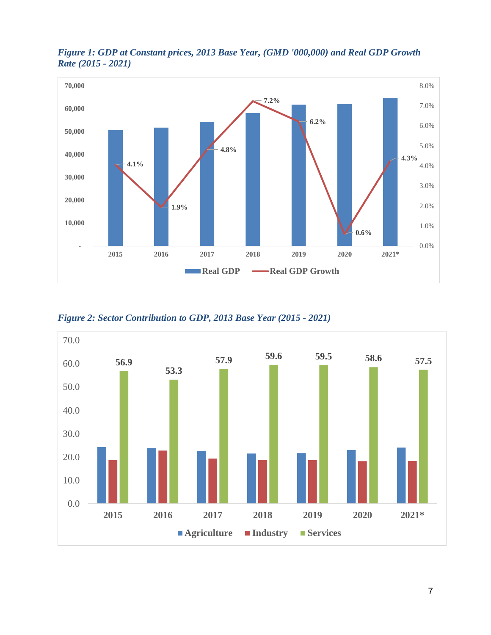

*Figure 1: GDP at Constant prices, 2013 Base Year, (GMD '000,000) and Real GDP Growth Rate (2015 - 2021)* 

*Figure 2: Sector Contribution to GDP, 2013 Base Year (2015 - 2021)*

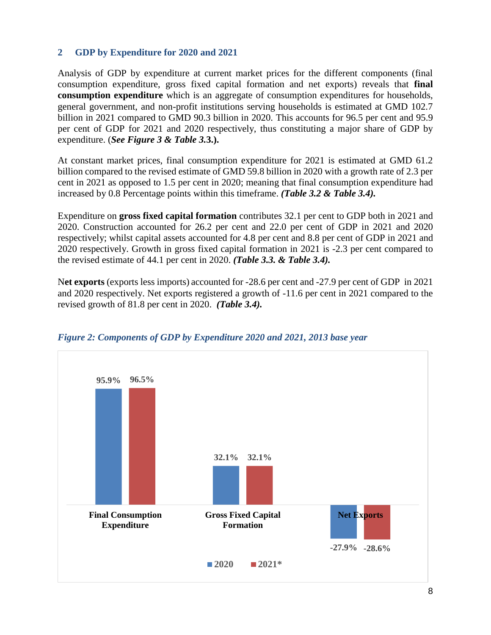## <span id="page-14-0"></span>**2 GDP by Expenditure for 2020 and 2021**

Analysis of GDP by expenditure at current market prices for the different components (final consumption expenditure, gross fixed capital formation and net exports) reveals that **final consumption expenditure** which is an aggregate of consumption expenditures for households, general government, and non-profit institutions serving households is estimated at GMD 102.7 billion in 2021 compared to GMD 90.3 billion in 2020*.* This accounts for 96.5 per cent and 95.9 per cent of GDP for 2021 and 2020 respectively, thus constituting a major share of GDP by expenditure. (*See Figure 3 & Table 3.***3.).**

At constant market prices, final consumption expenditure for 2021 is estimated at GMD 61.2 billion compared to the revised estimate of GMD 59.8 billion in 2020 with a growth rate of 2.3 per cent in 2021 as opposed to 1.5 per cent in 2020; meaning that final consumption expenditure had increased by 0.8 Percentage points within this timeframe. *(Table 3.2 & Table 3.4).*

Expenditure on **gross fixed capital formation** contributes 32.1 per cent to GDP both in 2021 and 2020. Construction accounted for 26.2 per cent and 22.0 per cent of GDP in 2021 and 2020 respectively; whilst capital assets accounted for 4.8 per cent and 8.8 per cent of GDP in 2021 and 2020 respectively. Growth in gross fixed capital formation in 2021 is -2.3 per cent compared to the revised estimate of 44.1 per cent in 2020. *(Table 3.3. & Table 3.4).*

N**et exports** (exports less imports) accounted for -28.6 per cent and -27.9 per cent of GDP in 2021 and 2020 respectively. Net exports registered a growth of -11.6 per cent in 2021 compared to the revised growth of 81.8 per cent in 2020. *(Table 3.4).*



*Figure 2: Components of GDP by Expenditure 2020 and 2021, 2013 base year*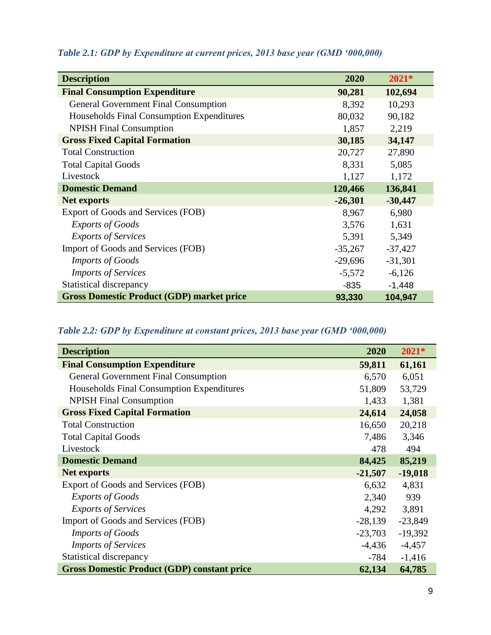| <b>Description</b>                               | 2020      | $2021*$   |
|--------------------------------------------------|-----------|-----------|
| <b>Final Consumption Expenditure</b>             | 90,281    | 102,694   |
| <b>General Government Final Consumption</b>      | 8,392     | 10,293    |
| Households Final Consumption Expenditures        | 80,032    | 90,182    |
| <b>NPISH Final Consumption</b>                   | 1,857     | 2,219     |
| <b>Gross Fixed Capital Formation</b>             | 30,185    | 34,147    |
| <b>Total Construction</b>                        | 20,727    | 27,890    |
| <b>Total Capital Goods</b>                       | 8,331     | 5,085     |
| Livestock                                        | 1,127     | 1,172     |
| <b>Domestic Demand</b>                           | 120,466   | 136,841   |
| Net exports                                      | $-26,301$ | $-30,447$ |
| Export of Goods and Services (FOB)               | 8,967     | 6,980     |
| <b>Exports of Goods</b>                          | 3,576     | 1,631     |
| <b>Exports of Services</b>                       | 5,391     | 5,349     |
| Import of Goods and Services (FOB)               | $-35,267$ | $-37,427$ |
| <b>Imports of Goods</b>                          | $-29,696$ | $-31,301$ |
| <b>Imports of Services</b>                       | $-5,572$  | $-6,126$  |
| Statistical discrepancy                          | $-835$    | $-1,448$  |
| <b>Gross Domestic Product (GDP) market price</b> | 93,330    | 104,947   |

## *Table 2.1: GDP by Expenditure at current prices, 2013 base year (GMD '000,000)*

## *Table 2.2: GDP by Expenditure at constant prices, 2013 base year (GMD '000,000)*

| <b>Description</b>                                 | 2020      | $2021*$   |
|----------------------------------------------------|-----------|-----------|
| <b>Final Consumption Expenditure</b>               | 59,811    | 61,161    |
| <b>General Government Final Consumption</b>        | 6,570     | 6,051     |
| Households Final Consumption Expenditures          | 51,809    | 53,729    |
| <b>NPISH Final Consumption</b>                     | 1,433     | 1,381     |
| <b>Gross Fixed Capital Formation</b>               | 24,614    | 24,058    |
| <b>Total Construction</b>                          | 16,650    | 20,218    |
| <b>Total Capital Goods</b>                         | 7,486     | 3,346     |
| Livestock                                          | 478       | 494       |
| <b>Domestic Demand</b>                             | 84,425    | 85,219    |
| <b>Net exports</b>                                 | $-21,507$ | $-19,018$ |
| Export of Goods and Services (FOB)                 | 6,632     | 4,831     |
| <b>Exports of Goods</b>                            | 2,340     | 939       |
| <b>Exports of Services</b>                         | 4,292     | 3,891     |
| Import of Goods and Services (FOB)                 | $-28,139$ | $-23,849$ |
| <b>Imports of Goods</b>                            | $-23,703$ | $-19,392$ |
| <b>Imports of Services</b>                         | $-4,436$  | $-4,457$  |
| Statistical discrepancy                            | $-784$    | $-1,416$  |
| <b>Gross Domestic Product (GDP) constant price</b> | 62,134    | 64,785    |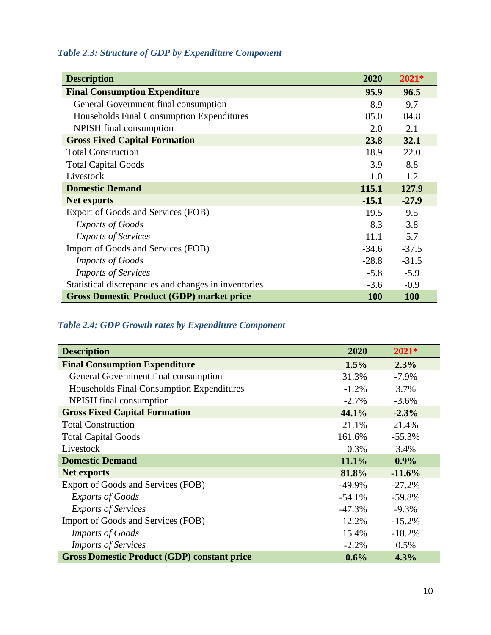## *Table 2.3: Structure of GDP by Expenditure Component*

| <b>Description</b>                                   | 2020    | $2021*$    |
|------------------------------------------------------|---------|------------|
| <b>Final Consumption Expenditure</b>                 | 95.9    | 96.5       |
| General Government final consumption                 | 8.9     | 9.7        |
| Households Final Consumption Expenditures            | 85.0    | 84.8       |
| NPISH final consumption                              | 2.0     | 2.1        |
| <b>Gross Fixed Capital Formation</b>                 | 23.8    | 32.1       |
| <b>Total Construction</b>                            | 18.9    | 22.0       |
| <b>Total Capital Goods</b>                           | 3.9     | 8.8        |
| Livestock                                            | 1.0     | 1.2        |
| <b>Domestic Demand</b>                               | 115.1   | 127.9      |
| Net exports                                          | $-15.1$ | $-27.9$    |
| Export of Goods and Services (FOB)                   | 19.5    | 9.5        |
| <b>Exports of Goods</b>                              | 8.3     | 3.8        |
| <b>Exports of Services</b>                           | 11.1    | 5.7        |
| Import of Goods and Services (FOB)                   | $-34.6$ | $-37.5$    |
| <b>Imports of Goods</b>                              | $-28.8$ | $-31.5$    |
| <b>Imports of Services</b>                           | $-5.8$  | $-5.9$     |
| Statistical discrepancies and changes in inventories | $-3.6$  | $-0.9$     |
| <b>Gross Domestic Product (GDP) market price</b>     | 100     | <b>100</b> |

## *Table 2.4: GDP Growth rates by Expenditure Component*

| <b>Description</b>                                 | 2020      | $2021*$  |
|----------------------------------------------------|-----------|----------|
| <b>Final Consumption Expenditure</b>               | 1.5%      | 2.3%     |
| General Government final consumption               | 31.3%     | $-7.9\%$ |
| Households Final Consumption Expenditures          | $-1.2%$   | 3.7%     |
| NPISH final consumption                            | $-2.7%$   | $-3.6%$  |
| <b>Gross Fixed Capital Formation</b>               | 44.1%     | $-2.3%$  |
| <b>Total Construction</b>                          | 21.1%     | 21.4%    |
| <b>Total Capital Goods</b>                         | 161.6%    | $-55.3%$ |
| Livestock                                          | 0.3%      | 3.4%     |
| <b>Domestic Demand</b>                             | 11.1%     | $0.9\%$  |
| <b>Net exports</b>                                 | 81.8%     | $-11.6%$ |
| Export of Goods and Services (FOB)                 | $-49.9\%$ | $-27.2%$ |
| <b>Exports of Goods</b>                            | $-54.1%$  | $-59.8%$ |
| <b>Exports of Services</b>                         | $-47.3%$  | $-9.3%$  |
| Import of Goods and Services (FOB)                 | 12.2%     | $-15.2%$ |
| <b>Imports of Goods</b>                            | 15.4%     | $-18.2%$ |
| <b>Imports of Services</b>                         | $-2.2%$   | 0.5%     |
| <b>Gross Domestic Product (GDP) constant price</b> | 0.6%      | 4.3%     |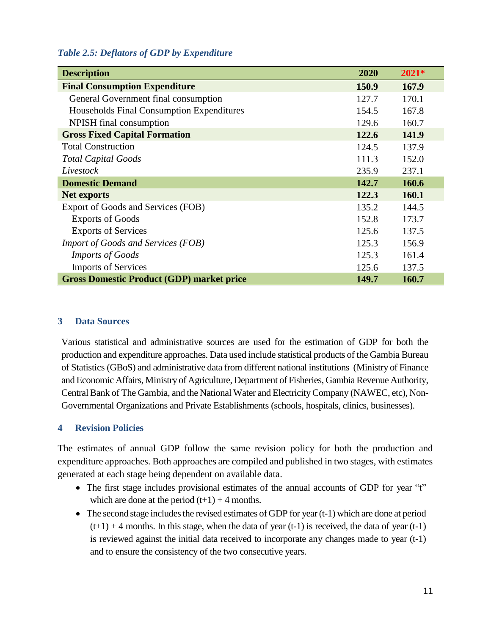#### *Table 2.5: Deflators of GDP by Expenditure*

| <b>Description</b>                               | 2020  | $2021*$ |
|--------------------------------------------------|-------|---------|
| <b>Final Consumption Expenditure</b>             | 150.9 | 167.9   |
| General Government final consumption             | 127.7 | 170.1   |
| Households Final Consumption Expenditures        | 154.5 | 167.8   |
| NPISH final consumption                          | 129.6 | 160.7   |
| <b>Gross Fixed Capital Formation</b>             | 122.6 | 141.9   |
| <b>Total Construction</b>                        | 124.5 | 137.9   |
| <b>Total Capital Goods</b>                       | 111.3 | 152.0   |
| Livestock                                        | 235.9 | 237.1   |
| <b>Domestic Demand</b>                           | 142.7 | 160.6   |
| <b>Net exports</b>                               | 122.3 | 160.1   |
| Export of Goods and Services (FOB)               | 135.2 | 144.5   |
| <b>Exports of Goods</b>                          | 152.8 | 173.7   |
| <b>Exports of Services</b>                       | 125.6 | 137.5   |
| <b>Import of Goods and Services (FOB)</b>        | 125.3 | 156.9   |
| <b>Imports of Goods</b>                          | 125.3 | 161.4   |
| <b>Imports of Services</b>                       | 125.6 | 137.5   |
| <b>Gross Domestic Product (GDP) market price</b> | 149.7 | 160.7   |

#### <span id="page-17-0"></span>**3 Data Sources**

<span id="page-17-1"></span>Various statistical and administrative sources are used for the estimation of GDP for both the production and expenditure approaches. Data used include statistical products of the Gambia Bureau of Statistics (GBoS) and administrative data from different national institutions (Ministry of Finance and Economic Affairs, Ministry of Agriculture, Department of Fisheries, Gambia Revenue Authority, Central Bank of The Gambia, and the National Water and Electricity Company (NAWEC, etc), Non-Governmental Organizations and Private Establishments (schools, hospitals, clinics, businesses).

#### **4 Revision Policies**

The estimates of annual GDP follow the same revision policy for both the production and expenditure approaches. Both approaches are compiled and published in two stages, with estimates generated at each stage being dependent on available data.

- The first stage includes provisional estimates of the annual accounts of GDP for year "t" which are done at the period  $(t+1) + 4$  months.
- The second stage includes the revised estimates of GDP for year  $(t-1)$  which are done at period  $(t+1) + 4$  months. In this stage, when the data of year  $(t-1)$  is received, the data of year  $(t-1)$ is reviewed against the initial data received to incorporate any changes made to year (t-1) and to ensure the consistency of the two consecutive years.